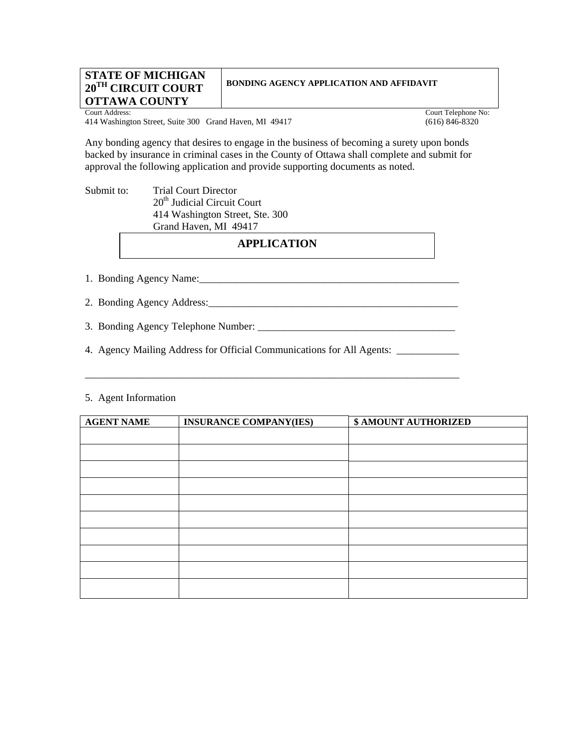#### **STATE OF MICHIGAN 20TH CIRCUIT COURT OTTAWA COUNTY**

# **BONDING AGENCY APPLICATION AND AFFIDAVIT**

414 Washington Street, Suite 300 Grand Haven, MI 49417 (616) 846-8320

Court Address: Court Telephone No:

Any bonding agency that desires to engage in the business of becoming a surety upon bonds backed by insurance in criminal cases in the County of Ottawa shall complete and submit for approval the following application and provide supporting documents as noted.

Submit to: Trial Court Director 20<sup>th</sup> Judicial Circuit Court 414 Washington Street, Ste. 300 Grand Haven, MI 49417

## **APPLICATION**

1. Bonding Agency Name:\_\_\_\_\_\_\_\_\_\_\_\_\_\_\_\_\_\_\_\_\_\_\_\_\_\_\_\_\_\_\_\_\_\_\_\_\_\_\_\_\_\_\_\_\_\_\_\_\_\_

2. Bonding Agency Address:

\_\_\_\_\_\_\_\_\_\_\_\_\_\_\_\_\_\_\_\_\_\_\_\_\_\_\_\_\_\_\_\_\_\_\_\_\_\_\_\_\_\_\_\_\_\_\_\_\_\_\_\_\_\_\_\_\_\_\_\_\_\_\_\_\_\_\_\_\_\_\_\_

3. Bonding Agency Telephone Number: \_\_\_\_\_\_\_\_\_\_\_\_\_\_\_\_\_\_\_\_\_\_\_\_\_\_\_\_\_\_\_\_\_\_\_\_\_\_

4. Agency Mailing Address for Official Communications for All Agents: \_\_\_\_\_\_\_\_\_\_\_\_

#### 5. Agent Information

| <b>AGENT NAME</b> | <b>INSURANCE COMPANY(IES)</b> | <b>\$ AMOUNT AUTHORIZED</b> |
|-------------------|-------------------------------|-----------------------------|
|                   |                               |                             |
|                   |                               |                             |
|                   |                               |                             |
|                   |                               |                             |
|                   |                               |                             |
|                   |                               |                             |
|                   |                               |                             |
|                   |                               |                             |
|                   |                               |                             |
|                   |                               |                             |
|                   |                               |                             |